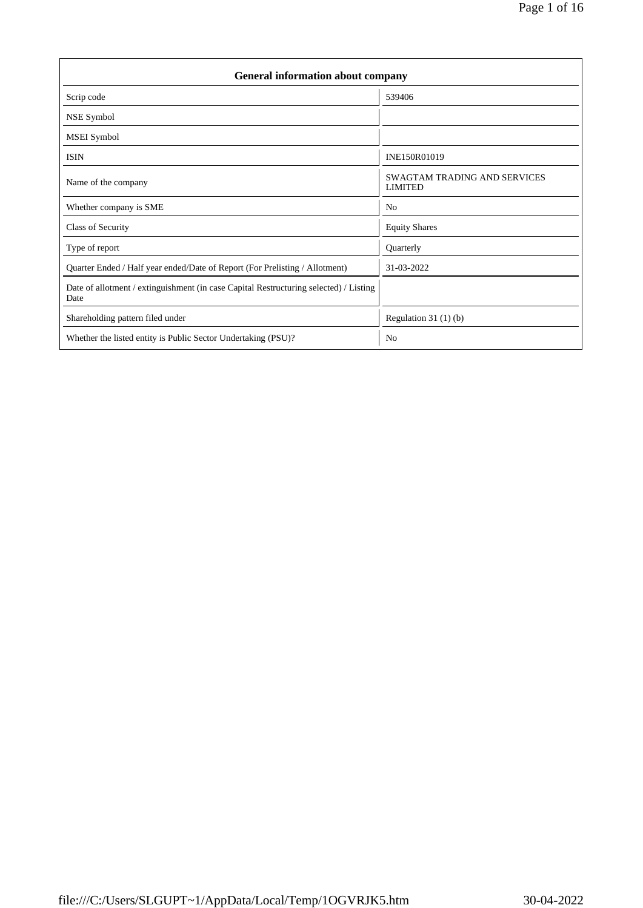| <b>General information about company</b>                                                      |                                                |  |  |  |  |  |  |  |
|-----------------------------------------------------------------------------------------------|------------------------------------------------|--|--|--|--|--|--|--|
| Scrip code                                                                                    | 539406                                         |  |  |  |  |  |  |  |
| NSE Symbol                                                                                    |                                                |  |  |  |  |  |  |  |
| <b>MSEI</b> Symbol                                                                            |                                                |  |  |  |  |  |  |  |
| <b>ISIN</b>                                                                                   | INE150R01019                                   |  |  |  |  |  |  |  |
| Name of the company                                                                           | SWAGTAM TRADING AND SERVICES<br><b>LIMITED</b> |  |  |  |  |  |  |  |
| Whether company is SME                                                                        | N <sub>0</sub>                                 |  |  |  |  |  |  |  |
| Class of Security                                                                             | <b>Equity Shares</b>                           |  |  |  |  |  |  |  |
| Type of report                                                                                | Quarterly                                      |  |  |  |  |  |  |  |
| Quarter Ended / Half year ended/Date of Report (For Prelisting / Allotment)                   | 31-03-2022                                     |  |  |  |  |  |  |  |
| Date of allotment / extinguishment (in case Capital Restructuring selected) / Listing<br>Date |                                                |  |  |  |  |  |  |  |
| Shareholding pattern filed under                                                              | Regulation 31 $(1)(b)$                         |  |  |  |  |  |  |  |
| Whether the listed entity is Public Sector Undertaking (PSU)?                                 | N <sub>0</sub>                                 |  |  |  |  |  |  |  |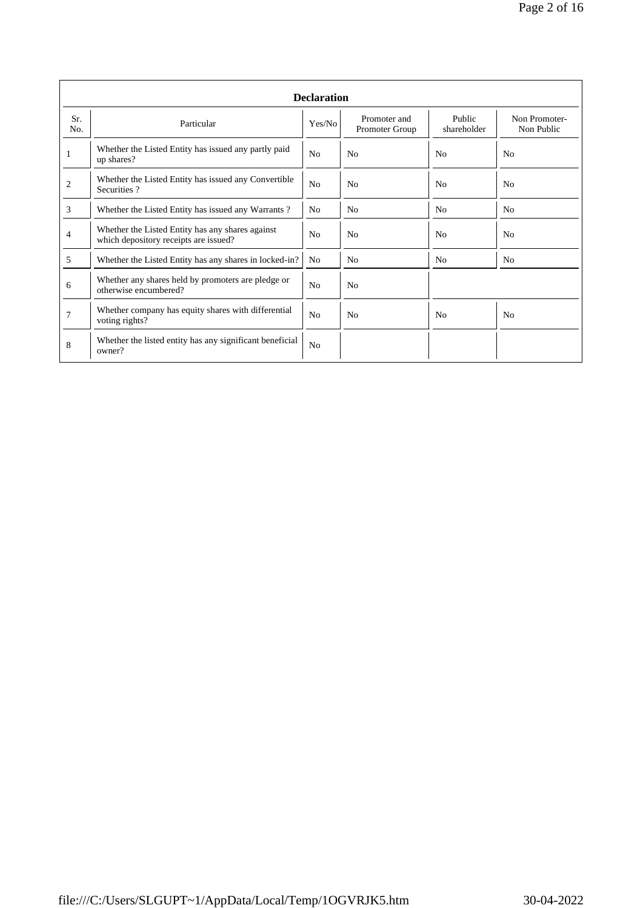|            | <b>Declaration</b>                                                                        |                |                                |                       |                             |  |  |  |  |  |  |
|------------|-------------------------------------------------------------------------------------------|----------------|--------------------------------|-----------------------|-----------------------------|--|--|--|--|--|--|
| Sr.<br>No. | Particular                                                                                | Yes/No         | Promoter and<br>Promoter Group | Public<br>shareholder | Non Promoter-<br>Non Public |  |  |  |  |  |  |
|            | Whether the Listed Entity has issued any partly paid<br>up shares?                        | N <sub>0</sub> | N <sub>0</sub>                 | N <sub>0</sub>        | N <sub>0</sub>              |  |  |  |  |  |  |
| 2          | Whether the Listed Entity has issued any Convertible<br>Securities?                       | N <sub>0</sub> | N <sub>0</sub>                 | N <sub>0</sub>        | N <sub>0</sub>              |  |  |  |  |  |  |
| 3          | Whether the Listed Entity has issued any Warrants?                                        | N <sub>0</sub> | N <sub>0</sub>                 | N <sub>0</sub>        | N <sub>0</sub>              |  |  |  |  |  |  |
| 4          | Whether the Listed Entity has any shares against<br>which depository receipts are issued? | N <sub>0</sub> | N <sub>0</sub>                 | N <sub>0</sub>        | N <sub>0</sub>              |  |  |  |  |  |  |
| 5          | Whether the Listed Entity has any shares in locked-in?                                    | N <sub>0</sub> | N <sub>0</sub>                 | N <sub>0</sub>        | N <sub>0</sub>              |  |  |  |  |  |  |
| 6          | Whether any shares held by promoters are pledge or<br>otherwise encumbered?               | N <sub>0</sub> | N <sub>0</sub>                 |                       |                             |  |  |  |  |  |  |
| 7          | Whether company has equity shares with differential<br>voting rights?                     | No             | N <sub>0</sub>                 | N <sub>0</sub>        | N <sub>0</sub>              |  |  |  |  |  |  |
| 8          | Whether the listed entity has any significant beneficial<br>owner?                        | N <sub>0</sub> |                                |                       |                             |  |  |  |  |  |  |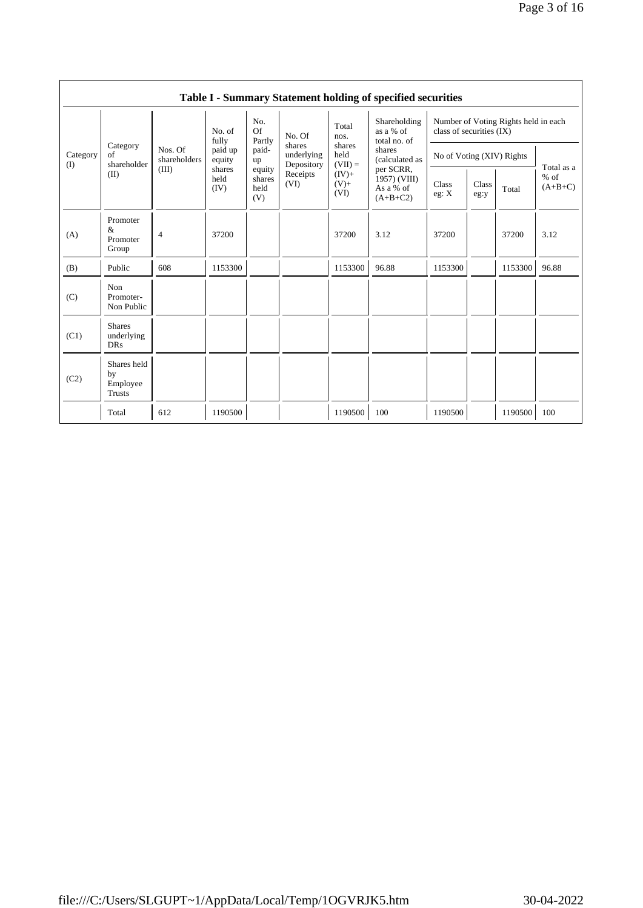|                 | Table I - Summary Statement holding of specified securities |                         |                        |                                 |                                    |                                              |                                                                       |                                                                  |               |         |                     |  |
|-----------------|-------------------------------------------------------------|-------------------------|------------------------|---------------------------------|------------------------------------|----------------------------------------------|-----------------------------------------------------------------------|------------------------------------------------------------------|---------------|---------|---------------------|--|
|                 |                                                             |                         | No. of<br>fully        | No.<br>Of<br>Partly             | No. Of                             | Total<br>nos.<br>shares<br>held<br>$(VII) =$ | Shareholding<br>as a % of<br>total no. of<br>shares<br>(calculated as | Number of Voting Rights held in each<br>class of securities (IX) |               |         |                     |  |
| Category<br>(I) | Category<br>of<br>shareholder                               | Nos. Of<br>shareholders | paid up<br>equity      | paid-<br>up                     | shares<br>underlying<br>Depository |                                              |                                                                       | No of Voting (XIV) Rights                                        |               |         | Total as a          |  |
|                 | (II)                                                        | (III)                   | shares<br>held<br>(IV) | equity<br>shares<br>held<br>(V) | Receipts<br>(VI)                   | $(IV) +$<br>$(V)$ +<br>(VI)                  | per SCRR,<br>1957) (VIII)<br>As a % of<br>$(A+B+C2)$                  | Class<br>eg: X                                                   | Class<br>eg:y | Total   | $%$ of<br>$(A+B+C)$ |  |
| (A)             | Promoter<br>$\&$<br>Promoter<br>Group                       | $\overline{4}$          | 37200                  |                                 |                                    | 37200                                        | 3.12                                                                  | 37200                                                            |               | 37200   | 3.12                |  |
| (B)             | Public                                                      | 608                     | 1153300                |                                 |                                    | 1153300                                      | 96.88                                                                 | 1153300                                                          |               | 1153300 | 96.88               |  |
| (C)             | Non<br>Promoter-<br>Non Public                              |                         |                        |                                 |                                    |                                              |                                                                       |                                                                  |               |         |                     |  |
| (C1)            | <b>Shares</b><br>underlying<br><b>DRs</b>                   |                         |                        |                                 |                                    |                                              |                                                                       |                                                                  |               |         |                     |  |
| (C2)            | Shares held<br>by<br>Employee<br>Trusts                     |                         |                        |                                 |                                    |                                              |                                                                       |                                                                  |               |         |                     |  |
|                 | Total                                                       | 612                     | 1190500                |                                 |                                    | 1190500                                      | 100                                                                   | 1190500                                                          |               | 1190500 | 100                 |  |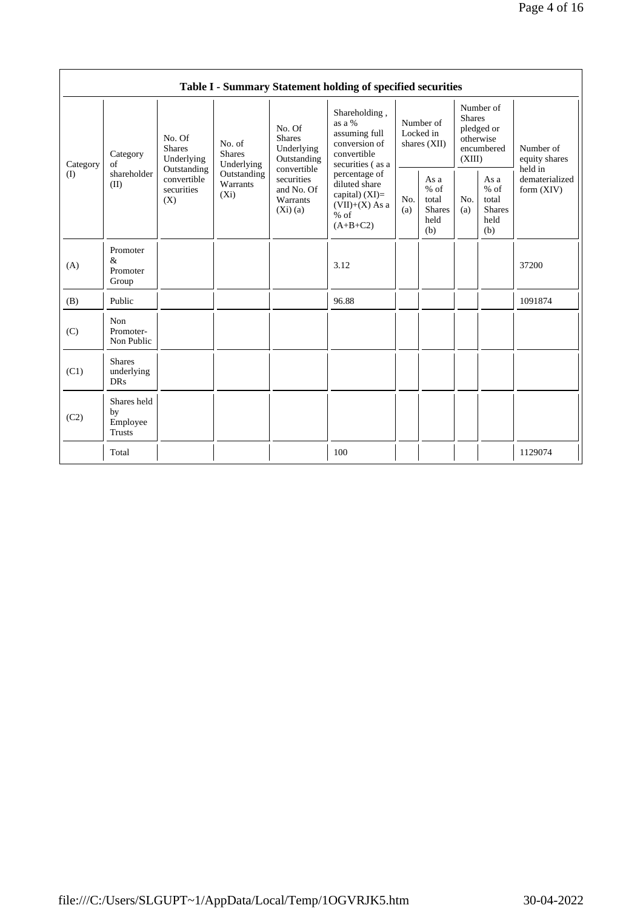| Table I - Summary Statement holding of specified securities |                                                |                                                                                          |                                                                             |                                                                                                                        |                                                                                                |                                          |                                                         |                                                                               |                                                         |                                       |  |
|-------------------------------------------------------------|------------------------------------------------|------------------------------------------------------------------------------------------|-----------------------------------------------------------------------------|------------------------------------------------------------------------------------------------------------------------|------------------------------------------------------------------------------------------------|------------------------------------------|---------------------------------------------------------|-------------------------------------------------------------------------------|---------------------------------------------------------|---------------------------------------|--|
| Category<br>(I)                                             | Category<br>$\sigma$ f<br>shareholder<br>(II)  | No. Of<br><b>Shares</b><br>Underlying<br>Outstanding<br>convertible<br>securities<br>(X) | No. of<br><b>Shares</b><br>Underlying<br>Outstanding<br>Warrants<br>$(X_i)$ | No. Of<br><b>Shares</b><br>Underlying<br>Outstanding<br>convertible<br>securities<br>and No. Of<br>Warrants<br>(Xi)(a) | Shareholding,<br>as a %<br>assuming full<br>conversion of<br>convertible<br>securities (as a   | Number of<br>Locked in<br>shares $(XII)$ |                                                         | Number of<br><b>Shares</b><br>pledged or<br>otherwise<br>encumbered<br>(XIII) |                                                         | Number of<br>equity shares<br>held in |  |
|                                                             |                                                |                                                                                          |                                                                             |                                                                                                                        | percentage of<br>diluted share<br>capital) $(XI)=$<br>$(VII)+(X)$ As a<br>$%$ of<br>$(A+B+C2)$ | No.<br>(a)                               | As a<br>$%$ of<br>total<br><b>Shares</b><br>held<br>(b) | No.<br>(a)                                                                    | As a<br>$%$ of<br>total<br><b>Shares</b><br>held<br>(b) | dematerialized<br>form (XIV)          |  |
| (A)                                                         | Promoter<br>$\&$<br>Promoter<br>Group          |                                                                                          |                                                                             |                                                                                                                        | 3.12                                                                                           |                                          |                                                         |                                                                               |                                                         | 37200                                 |  |
| (B)                                                         | Public                                         |                                                                                          |                                                                             |                                                                                                                        | 96.88                                                                                          |                                          |                                                         |                                                                               |                                                         | 1091874                               |  |
| (C)                                                         | Non<br>Promoter-<br>Non Public                 |                                                                                          |                                                                             |                                                                                                                        |                                                                                                |                                          |                                                         |                                                                               |                                                         |                                       |  |
| (C1)                                                        | <b>Shares</b><br>underlying<br><b>DRs</b>      |                                                                                          |                                                                             |                                                                                                                        |                                                                                                |                                          |                                                         |                                                                               |                                                         |                                       |  |
| (C2)                                                        | Shares held<br>by<br>Employee<br><b>Trusts</b> |                                                                                          |                                                                             |                                                                                                                        |                                                                                                |                                          |                                                         |                                                                               |                                                         |                                       |  |
|                                                             | Total                                          |                                                                                          |                                                                             |                                                                                                                        | 100                                                                                            |                                          |                                                         |                                                                               |                                                         | 1129074                               |  |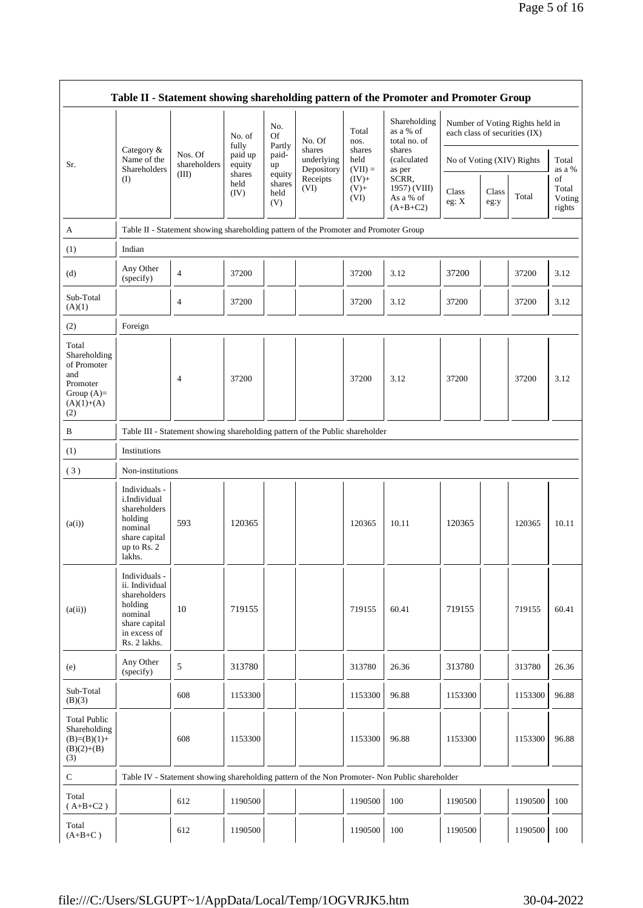| Table II - Statement showing shareholding pattern of the Promoter and Promoter Group           |                                                                                                                        |                                                                                      |                            |                                 |                                    |                             |                                                                                               |                               |               |                                 |                                 |  |
|------------------------------------------------------------------------------------------------|------------------------------------------------------------------------------------------------------------------------|--------------------------------------------------------------------------------------|----------------------------|---------------------------------|------------------------------------|-----------------------------|-----------------------------------------------------------------------------------------------|-------------------------------|---------------|---------------------------------|---------------------------------|--|
|                                                                                                | Category &<br>Name of the<br>Shareholders                                                                              |                                                                                      | No. of                     | No.<br><b>Of</b>                | No. Of                             | Total<br>nos.               | Shareholding<br>as a % of<br>total no. of                                                     | each class of securities (IX) |               | Number of Voting Rights held in |                                 |  |
| Sr.                                                                                            |                                                                                                                        | Nos. Of<br>shareholders                                                              | fully<br>paid up<br>equity | Partly<br>paid-<br>up           | shares<br>underlying<br>Depository | shares<br>held<br>$(VII) =$ | shares<br>(calculated<br>as per                                                               | No of Voting (XIV) Rights     |               |                                 | Total<br>as a %                 |  |
|                                                                                                | (I)                                                                                                                    | (III)                                                                                | shares<br>held<br>(IV)     | equity<br>shares<br>held<br>(V) | Receipts<br>(VI)                   | $(IV)+$<br>$(V)$ +<br>(VI)  | SCRR,<br>1957) (VIII)<br>As a % of<br>$(A+B+C2)$                                              | Class<br>eg: $X$              | Class<br>eg:y | Total                           | of<br>Total<br>Voting<br>rights |  |
| A                                                                                              |                                                                                                                        | Table II - Statement showing shareholding pattern of the Promoter and Promoter Group |                            |                                 |                                    |                             |                                                                                               |                               |               |                                 |                                 |  |
| (1)                                                                                            | Indian                                                                                                                 |                                                                                      |                            |                                 |                                    |                             |                                                                                               |                               |               |                                 |                                 |  |
| (d)                                                                                            | Any Other<br>(specify)                                                                                                 | $\overline{4}$                                                                       | 37200                      |                                 |                                    | 37200                       | 3.12                                                                                          | 37200                         |               | 37200                           | 3.12                            |  |
| Sub-Total<br>(A)(1)                                                                            |                                                                                                                        | $\overline{4}$                                                                       | 37200                      |                                 |                                    | 37200                       | 3.12                                                                                          | 37200                         |               | 37200                           | 3.12                            |  |
| (2)                                                                                            | Foreign                                                                                                                |                                                                                      |                            |                                 |                                    |                             |                                                                                               |                               |               |                                 |                                 |  |
| Total<br>Shareholding<br>of Promoter<br>and<br>Promoter<br>Group $(A)=$<br>$(A)(1)+(A)$<br>(2) |                                                                                                                        | $\overline{4}$                                                                       | 37200                      |                                 |                                    | 37200                       | 3.12                                                                                          | 37200                         |               | 37200                           | 3.12                            |  |
| $\, {\bf B}$                                                                                   |                                                                                                                        | Table III - Statement showing shareholding pattern of the Public shareholder         |                            |                                 |                                    |                             |                                                                                               |                               |               |                                 |                                 |  |
| (1)                                                                                            | Institutions                                                                                                           |                                                                                      |                            |                                 |                                    |                             |                                                                                               |                               |               |                                 |                                 |  |
| (3)                                                                                            | Non-institutions                                                                                                       |                                                                                      |                            |                                 |                                    |                             |                                                                                               |                               |               |                                 |                                 |  |
| (a(i))                                                                                         | Individuals -<br>i.Individual<br>shareholders<br>holding<br>nominal<br>share capital<br>up to Rs. 2<br>lakhs.          | 593                                                                                  | 120365                     |                                 |                                    | 120365                      | 10.11                                                                                         | 120365                        |               | 120365                          | 10.11                           |  |
| (a(ii))                                                                                        | Individuals -<br>ii. Individual<br>shareholders<br>holding<br>nominal<br>share capital<br>in excess of<br>Rs. 2 lakhs. | 10                                                                                   | 719155                     |                                 |                                    | 719155                      | 60.41                                                                                         | 719155                        |               | 719155                          | 60.41                           |  |
| (e)                                                                                            | Any Other<br>(specify)                                                                                                 | 5                                                                                    | 313780                     |                                 |                                    | 313780                      | 26.36                                                                                         | 313780                        |               | 313780                          | 26.36                           |  |
| Sub-Total<br>(B)(3)                                                                            |                                                                                                                        | 608                                                                                  | 1153300                    |                                 |                                    | 1153300                     | 96.88                                                                                         | 1153300                       |               | 1153300                         | 96.88                           |  |
| <b>Total Public</b><br>Shareholding<br>$(B)=(B)(1)+$<br>$(B)(2)+(B)$<br>(3)                    |                                                                                                                        | 608                                                                                  | 1153300                    |                                 |                                    | 1153300                     | 96.88                                                                                         | 1153300                       |               | 1153300                         | 96.88                           |  |
| ${\bf C}$                                                                                      |                                                                                                                        |                                                                                      |                            |                                 |                                    |                             | Table IV - Statement showing shareholding pattern of the Non Promoter- Non Public shareholder |                               |               |                                 |                                 |  |
| Total<br>$(A+B+C2)$                                                                            |                                                                                                                        | 612                                                                                  | 1190500                    |                                 |                                    | 1190500                     | 100                                                                                           | 1190500                       |               | 1190500                         | 100                             |  |
| Total<br>$(A+B+C)$                                                                             |                                                                                                                        | 612                                                                                  | 1190500                    |                                 |                                    | 1190500                     | 100                                                                                           | 1190500                       |               | 1190500                         | 100                             |  |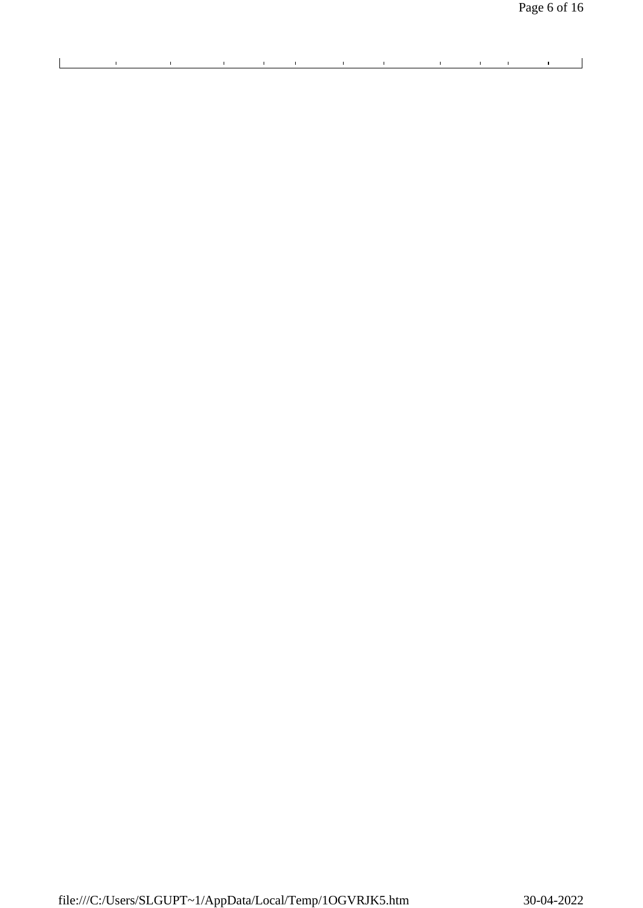$\mathbf{u}$  is a set of the set of the set of the set of the set of  $\mathbf{u}$  $\mathcal{L}^{\text{max}}$  and  $\mathcal{L}^{\text{max}}$  $\mathbf{u}$  $\mathbf{L}$  $\mathbf{u}$  $\mathbf{1}^{\top}$  $\sim 1$  $\mathbf{H}^{\mathrm{max}}$  $\sim 10^{-11}$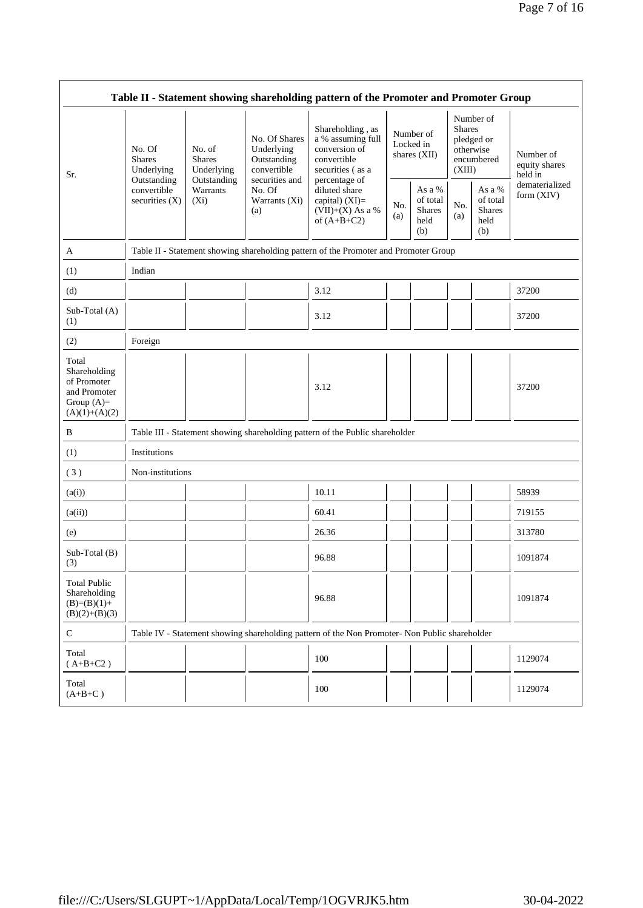| Table II - Statement showing shareholding pattern of the Promoter and Promoter Group    |                                                |                                                                                               |                                                           |                                                                                           |            |                                                    |            |                                                                               |                                       |  |
|-----------------------------------------------------------------------------------------|------------------------------------------------|-----------------------------------------------------------------------------------------------|-----------------------------------------------------------|-------------------------------------------------------------------------------------------|------------|----------------------------------------------------|------------|-------------------------------------------------------------------------------|---------------------------------------|--|
| Sr.                                                                                     | No. Of<br><b>Shares</b><br>Underlying          | No. of<br><b>Shares</b><br>Underlying                                                         | No. Of Shares<br>Underlying<br>Outstanding<br>convertible | Shareholding, as<br>a % assuming full<br>conversion of<br>convertible<br>securities (as a |            | Number of<br>Locked in<br>shares (XII)             |            | Number of<br><b>Shares</b><br>pledged or<br>otherwise<br>encumbered<br>(XIII) | Number of<br>equity shares<br>held in |  |
|                                                                                         | Outstanding<br>convertible<br>securities $(X)$ | Outstanding<br>Warrants<br>$(X_i)$                                                            | securities and<br>No. Of<br>Warrants (Xi)<br>(a)          | percentage of<br>diluted share<br>capital) (XI)=<br>$(VII)+(X)$ As a %<br>of $(A+B+C2)$   | No.<br>(a) | As a %<br>of total<br><b>Shares</b><br>held<br>(b) | No.<br>(a) | As a %<br>of total<br><b>Shares</b><br>held<br>(b)                            | dematerialized<br>form $(XIV)$        |  |
| A                                                                                       |                                                |                                                                                               |                                                           | Table II - Statement showing shareholding pattern of the Promoter and Promoter Group      |            |                                                    |            |                                                                               |                                       |  |
| (1)                                                                                     | Indian                                         |                                                                                               |                                                           |                                                                                           |            |                                                    |            |                                                                               |                                       |  |
| (d)                                                                                     |                                                |                                                                                               |                                                           | 3.12                                                                                      |            |                                                    |            |                                                                               | 37200                                 |  |
| Sub-Total (A)<br>(1)                                                                    |                                                |                                                                                               |                                                           | 3.12                                                                                      |            |                                                    |            |                                                                               | 37200                                 |  |
| (2)                                                                                     | Foreign                                        |                                                                                               |                                                           |                                                                                           |            |                                                    |            |                                                                               |                                       |  |
| Total<br>Shareholding<br>of Promoter<br>and Promoter<br>Group $(A)=$<br>$(A)(1)+(A)(2)$ |                                                |                                                                                               |                                                           | 3.12                                                                                      |            |                                                    |            |                                                                               | 37200                                 |  |
| B                                                                                       |                                                |                                                                                               |                                                           | Table III - Statement showing shareholding pattern of the Public shareholder              |            |                                                    |            |                                                                               |                                       |  |
| (1)                                                                                     | Institutions                                   |                                                                                               |                                                           |                                                                                           |            |                                                    |            |                                                                               |                                       |  |
| (3)                                                                                     | Non-institutions                               |                                                                                               |                                                           |                                                                                           |            |                                                    |            |                                                                               |                                       |  |
| (a(i))                                                                                  |                                                |                                                                                               |                                                           | 10.11                                                                                     |            |                                                    |            |                                                                               | 58939                                 |  |
| (a(ii))                                                                                 |                                                |                                                                                               |                                                           | 60.41                                                                                     |            |                                                    |            |                                                                               | 719155                                |  |
| (e)                                                                                     |                                                |                                                                                               |                                                           | 26.36                                                                                     |            |                                                    |            |                                                                               | 313780                                |  |
| Sub-Total (B)<br>(3)                                                                    |                                                |                                                                                               |                                                           | 96.88                                                                                     |            |                                                    |            |                                                                               | 1091874                               |  |
| <b>Total Public</b><br>Shareholding<br>$(B)=(B)(1)+$<br>$(B)(2)+(B)(3)$                 |                                                |                                                                                               |                                                           | 96.88                                                                                     |            |                                                    |            |                                                                               | 1091874                               |  |
| $\mathbf C$                                                                             |                                                | Table IV - Statement showing shareholding pattern of the Non Promoter- Non Public shareholder |                                                           |                                                                                           |            |                                                    |            |                                                                               |                                       |  |
| Total<br>$(A+B+C2)$                                                                     |                                                |                                                                                               |                                                           | 100                                                                                       |            |                                                    |            |                                                                               | 1129074                               |  |
| Total<br>$(A+B+C)$                                                                      |                                                |                                                                                               |                                                           | 100                                                                                       |            |                                                    |            |                                                                               | 1129074                               |  |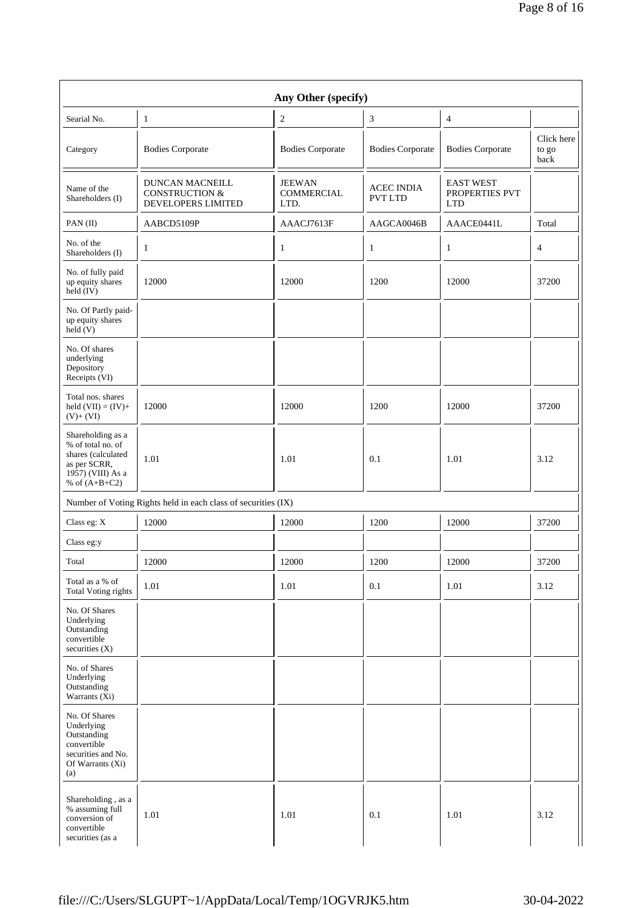| Any Other (specify)                                                                                                  |                                                                    |                                            |                                     |                                                  |                             |  |  |  |  |  |
|----------------------------------------------------------------------------------------------------------------------|--------------------------------------------------------------------|--------------------------------------------|-------------------------------------|--------------------------------------------------|-----------------------------|--|--|--|--|--|
| Searial No.                                                                                                          | $\mathbf{1}$                                                       | $\overline{c}$                             | 3                                   | $\overline{4}$                                   |                             |  |  |  |  |  |
| Category                                                                                                             | <b>Bodies Corporate</b>                                            | <b>Bodies Corporate</b>                    | <b>Bodies Corporate</b>             | <b>Bodies Corporate</b>                          | Click here<br>to go<br>back |  |  |  |  |  |
| Name of the<br>Shareholders (I)                                                                                      | DUNCAN MACNEILL<br><b>CONSTRUCTION &amp;</b><br>DEVELOPERS LIMITED | <b>JEEWAN</b><br><b>COMMERCIAL</b><br>LTD. | <b>ACEC INDIA</b><br><b>PVT LTD</b> | <b>EAST WEST</b><br>PROPERTIES PVT<br><b>LTD</b> |                             |  |  |  |  |  |
| PAN(II)                                                                                                              | AABCD5109P                                                         | AAACJ7613F                                 | AAGCA0046B                          | AAACE0441L                                       | Total                       |  |  |  |  |  |
| No. of the<br>Shareholders (I)                                                                                       | $\mathbf{1}$                                                       | $\mathbf{1}$                               | 1                                   | $\mathbf{1}$                                     | $\overline{4}$              |  |  |  |  |  |
| No. of fully paid<br>up equity shares<br>$held$ (IV)                                                                 | 12000                                                              | 12000                                      | 1200                                | 12000                                            | 37200                       |  |  |  |  |  |
| No. Of Partly paid-<br>up equity shares<br>held(V)                                                                   |                                                                    |                                            |                                     |                                                  |                             |  |  |  |  |  |
| No. Of shares<br>underlying<br>Depository<br>Receipts (VI)                                                           |                                                                    |                                            |                                     |                                                  |                             |  |  |  |  |  |
| Total nos. shares<br>held $(VII) = (IV) +$<br>$(V)+(VI)$                                                             | 12000                                                              | 12000                                      | 1200                                | 12000                                            | 37200                       |  |  |  |  |  |
| Shareholding as a<br>% of total no. of<br>shares (calculated<br>as per SCRR,<br>1957) (VIII) As a<br>% of $(A+B+C2)$ | 1.01                                                               | 1.01                                       | 0.1                                 | 1.01                                             | 3.12                        |  |  |  |  |  |
|                                                                                                                      | Number of Voting Rights held in each class of securities (IX)      |                                            |                                     |                                                  |                             |  |  |  |  |  |
| Class eg: X                                                                                                          | 12000                                                              | 12000                                      | 1200                                | 12000                                            | 37200                       |  |  |  |  |  |
| Class eg:y                                                                                                           |                                                                    |                                            |                                     |                                                  |                             |  |  |  |  |  |
| Total                                                                                                                | 12000                                                              | 12000                                      | 1200                                | 12000                                            | 37200                       |  |  |  |  |  |
| Total as a % of<br>Total Voting rights                                                                               | 1.01                                                               | 1.01                                       | 0.1                                 | 1.01                                             | 3.12                        |  |  |  |  |  |
| No. Of Shares<br>Underlying<br>Outstanding<br>convertible<br>securities $(X)$                                        |                                                                    |                                            |                                     |                                                  |                             |  |  |  |  |  |
| No. of Shares<br>Underlying<br>Outstanding<br>Warrants (Xi)                                                          |                                                                    |                                            |                                     |                                                  |                             |  |  |  |  |  |
| No. Of Shares<br>Underlying<br>Outstanding<br>convertible<br>securities and No.<br>Of Warrants (Xi)<br>(a)           |                                                                    |                                            |                                     |                                                  |                             |  |  |  |  |  |
| Shareholding, as a<br>% assuming full<br>conversion of<br>convertible<br>securities (as a                            | 1.01                                                               | 1.01                                       | 0.1                                 | 1.01                                             | 3.12                        |  |  |  |  |  |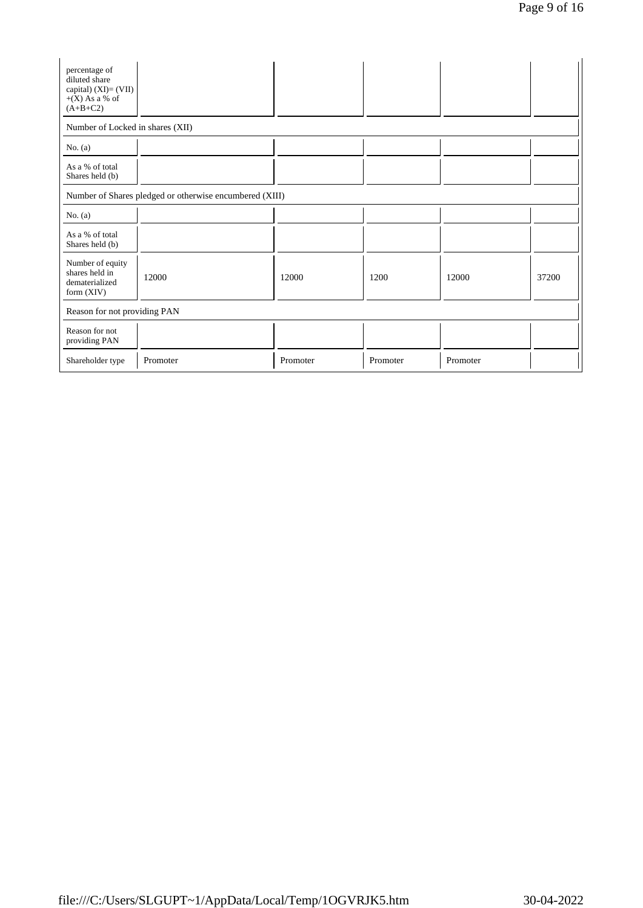| percentage of<br>diluted share<br>capital) (XI)= (VII)<br>$+(X)$ As a % of<br>$(A+B+C2)$<br>Number of Locked in shares (XII) |                                                         |          |          |          |       |
|------------------------------------------------------------------------------------------------------------------------------|---------------------------------------------------------|----------|----------|----------|-------|
|                                                                                                                              |                                                         |          |          |          |       |
| No. $(a)$                                                                                                                    |                                                         |          |          |          |       |
| As a % of total<br>Shares held (b)                                                                                           |                                                         |          |          |          |       |
|                                                                                                                              | Number of Shares pledged or otherwise encumbered (XIII) |          |          |          |       |
| No. $(a)$                                                                                                                    |                                                         |          |          |          |       |
| As a % of total<br>Shares held (b)                                                                                           |                                                         |          |          |          |       |
| Number of equity<br>shares held in<br>dematerialized<br>form $(XIV)$                                                         | 12000                                                   | 12000    | 1200     | 12000    | 37200 |
| Reason for not providing PAN                                                                                                 |                                                         |          |          |          |       |
| Reason for not<br>providing PAN                                                                                              |                                                         |          |          |          |       |
| Shareholder type                                                                                                             | Promoter                                                | Promoter | Promoter | Promoter |       |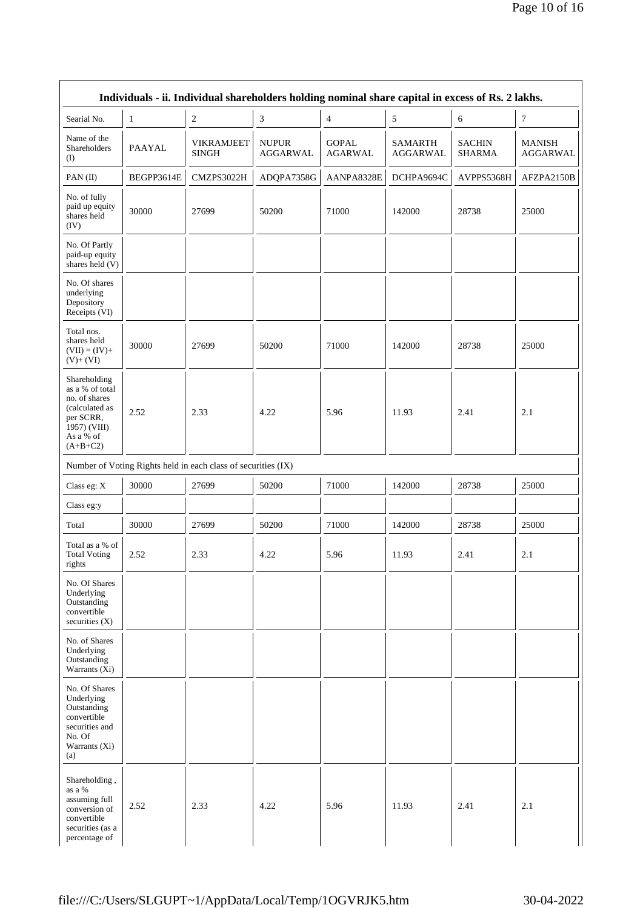|                                                                                                                            |              | Individuals - ii. Individual shareholders holding nominal share capital in excess of Rs. 2 lakhs. |                          |                                |                            |                                |                           |
|----------------------------------------------------------------------------------------------------------------------------|--------------|---------------------------------------------------------------------------------------------------|--------------------------|--------------------------------|----------------------------|--------------------------------|---------------------------|
| Searial No.                                                                                                                | $\mathbf{1}$ | $\sqrt{2}$                                                                                        | 3                        | $\overline{4}$                 | $\sqrt{5}$                 | 6                              | $\tau$                    |
| Name of the<br>Shareholders<br>(I)                                                                                         | PAAYAL       | VIKRAMJEET<br><b>SINGH</b>                                                                        | <b>NUPUR</b><br>AGGARWAL | <b>GOPAL</b><br><b>AGARWAL</b> | <b>SAMARTH</b><br>AGGARWAL | <b>SACHIN</b><br><b>SHARMA</b> | <b>MANISH</b><br>AGGARWAL |
| PAN(II)                                                                                                                    | BEGPP3614E   | CMZPS3022H                                                                                        | ADQPA7358G               | AANPA8328E                     | DCHPA9694C                 | AVPPS5368H                     | AFZPA2150B                |
| No. of fully<br>paid up equity<br>shares held<br>(IV)                                                                      | 30000        | 27699                                                                                             | 50200                    | 71000                          | 142000                     | 28738                          | 25000                     |
| No. Of Partly<br>paid-up equity<br>shares held (V)                                                                         |              |                                                                                                   |                          |                                |                            |                                |                           |
| No. Of shares<br>underlying<br>Depository<br>Receipts (VI)                                                                 |              |                                                                                                   |                          |                                |                            |                                |                           |
| Total nos.<br>shares held<br>$(VII) = (IV) +$<br>$(V)+(VI)$                                                                | 30000        | 27699                                                                                             | 50200                    | 71000                          | 142000                     | 28738                          | 25000                     |
| Shareholding<br>as a % of total<br>no. of shares<br>(calculated as<br>per SCRR,<br>1957) (VIII)<br>As a % of<br>$(A+B+C2)$ | 2.52         | 2.33                                                                                              | 4.22                     | 5.96                           | 11.93                      | 2.41                           | 2.1                       |
|                                                                                                                            |              | Number of Voting Rights held in each class of securities (IX)                                     |                          |                                |                            |                                |                           |
| Class eg: X                                                                                                                | 30000        | 27699                                                                                             | 50200                    | 71000                          | 142000                     | 28738                          | 25000                     |
| Class eg:y                                                                                                                 |              |                                                                                                   |                          |                                |                            |                                |                           |
| Total                                                                                                                      | 30000        | 27699                                                                                             | 50200                    | 71000                          | 142000                     | 28738                          | 25000                     |
| Total as a % of<br><b>Total Voting</b><br>rights                                                                           | 2.52         | 2.33                                                                                              | 4.22                     | 5.96                           | 11.93                      | 2.41                           | 2.1                       |
| No. Of Shares<br>Underlying<br>Outstanding<br>convertible<br>securities $(X)$                                              |              |                                                                                                   |                          |                                |                            |                                |                           |
| No. of Shares<br>Underlying<br>Outstanding<br>Warrants (Xi)                                                                |              |                                                                                                   |                          |                                |                            |                                |                           |
| No. Of Shares<br>Underlying<br>Outstanding<br>convertible<br>securities and<br>No. Of<br>Warrants (Xi)<br>(a)              |              |                                                                                                   |                          |                                |                            |                                |                           |
| Shareholding,<br>as a %<br>assuming full<br>conversion of<br>convertible<br>securities (as a<br>percentage of              | 2.52         | 2.33                                                                                              | 4.22                     | 5.96                           | 11.93                      | 2.41                           | 2.1                       |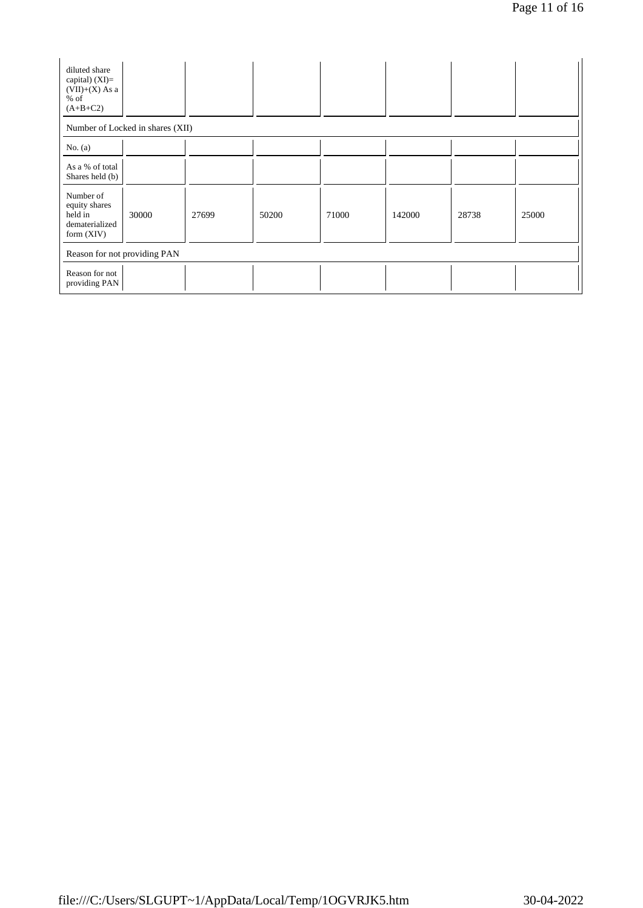| diluted share<br>capital) $(XI)=$<br>$(VII)+(X)$ As a<br>$%$ of<br>$(A+B+C2)$ |                                  |       |       |       |        |       |       |
|-------------------------------------------------------------------------------|----------------------------------|-------|-------|-------|--------|-------|-------|
|                                                                               | Number of Locked in shares (XII) |       |       |       |        |       |       |
| No. $(a)$                                                                     |                                  |       |       |       |        |       |       |
| As a % of total<br>Shares held (b)                                            |                                  |       |       |       |        |       |       |
| Number of<br>equity shares<br>held in<br>dematerialized<br>form $(XIV)$       | 30000                            | 27699 | 50200 | 71000 | 142000 | 28738 | 25000 |
| Reason for not providing PAN                                                  |                                  |       |       |       |        |       |       |
| Reason for not<br>providing PAN                                               |                                  |       |       |       |        |       |       |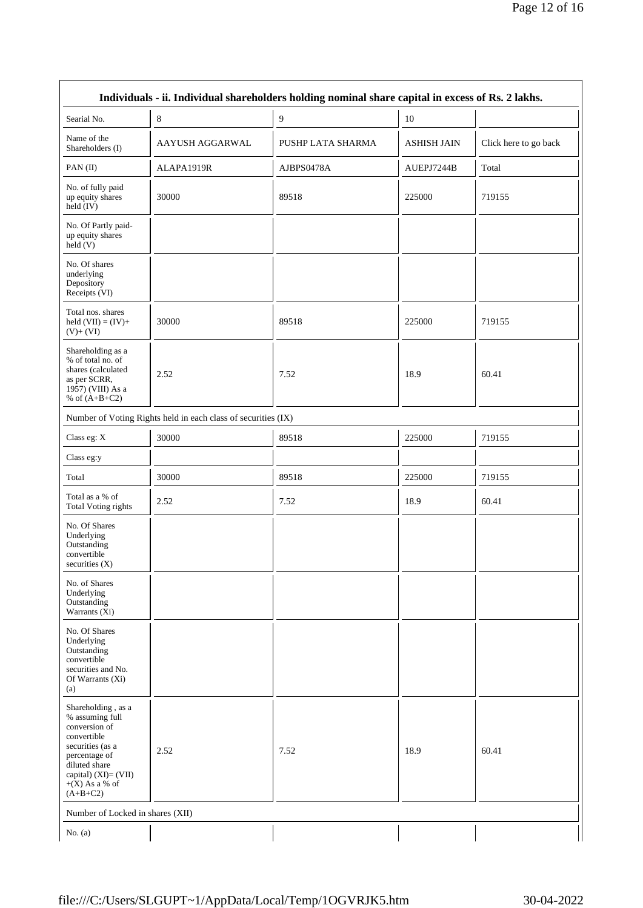| $\boldsymbol{9}$<br>8<br>10<br>Click here to go back<br>AAYUSH AGGARWAL<br>PUSHP LATA SHARMA<br>ASHISH JAIN<br>AJBPS0478A<br>AUEPJ7244B<br>Total<br>ALAPA1919R<br>30000<br>89518<br>225000<br>719155<br>30000<br>89518<br>225000<br>719155<br>2.52<br>7.52<br>18.9<br>60.41<br>Number of Voting Rights held in each class of securities (IX)<br>30000<br>89518<br>225000<br>719155<br>30000<br>89518<br>225000<br>719155<br>2.52<br>7.52<br>18.9<br>60.41<br>2.52<br>7.52<br>18.9<br>60.41<br>Number of Locked in shares (XII) |                                                                                                                                                                                          | Individuals - ii. Individual shareholders holding nominal share capital in excess of Rs. 2 lakhs. |  |
|--------------------------------------------------------------------------------------------------------------------------------------------------------------------------------------------------------------------------------------------------------------------------------------------------------------------------------------------------------------------------------------------------------------------------------------------------------------------------------------------------------------------------------|------------------------------------------------------------------------------------------------------------------------------------------------------------------------------------------|---------------------------------------------------------------------------------------------------|--|
|                                                                                                                                                                                                                                                                                                                                                                                                                                                                                                                                | Searial No.                                                                                                                                                                              |                                                                                                   |  |
|                                                                                                                                                                                                                                                                                                                                                                                                                                                                                                                                | Name of the<br>Shareholders (I)                                                                                                                                                          |                                                                                                   |  |
|                                                                                                                                                                                                                                                                                                                                                                                                                                                                                                                                | $PAN$ (II)                                                                                                                                                                               |                                                                                                   |  |
|                                                                                                                                                                                                                                                                                                                                                                                                                                                                                                                                | No. of fully paid<br>up equity shares<br>held $(IV)$                                                                                                                                     |                                                                                                   |  |
|                                                                                                                                                                                                                                                                                                                                                                                                                                                                                                                                | No. Of Partly paid-<br>up equity shares<br>$\text{held}(V)$                                                                                                                              |                                                                                                   |  |
|                                                                                                                                                                                                                                                                                                                                                                                                                                                                                                                                | No. Of shares<br>underlying<br>Depository<br>Receipts (VI)                                                                                                                               |                                                                                                   |  |
|                                                                                                                                                                                                                                                                                                                                                                                                                                                                                                                                | Total nos. shares<br>held $(VII) = (IV) +$<br>$(V)+(VI)$                                                                                                                                 |                                                                                                   |  |
|                                                                                                                                                                                                                                                                                                                                                                                                                                                                                                                                | Shareholding as a<br>% of total no. of<br>shares (calculated<br>as per SCRR,<br>1957) (VIII) As a<br>% of $(A+B+C2)$                                                                     |                                                                                                   |  |
|                                                                                                                                                                                                                                                                                                                                                                                                                                                                                                                                |                                                                                                                                                                                          |                                                                                                   |  |
|                                                                                                                                                                                                                                                                                                                                                                                                                                                                                                                                | Class eg: X                                                                                                                                                                              |                                                                                                   |  |
|                                                                                                                                                                                                                                                                                                                                                                                                                                                                                                                                | Class eg:y                                                                                                                                                                               |                                                                                                   |  |
|                                                                                                                                                                                                                                                                                                                                                                                                                                                                                                                                | Total                                                                                                                                                                                    |                                                                                                   |  |
|                                                                                                                                                                                                                                                                                                                                                                                                                                                                                                                                | Total as a % of<br>Total Voting rights                                                                                                                                                   |                                                                                                   |  |
|                                                                                                                                                                                                                                                                                                                                                                                                                                                                                                                                | No. Of Shares<br>Underlying<br>Outstanding<br>convertible<br>securities $(X)$                                                                                                            |                                                                                                   |  |
|                                                                                                                                                                                                                                                                                                                                                                                                                                                                                                                                | No. of Shares<br>Underlying<br>Outstanding<br>Warrants (Xi)                                                                                                                              |                                                                                                   |  |
|                                                                                                                                                                                                                                                                                                                                                                                                                                                                                                                                | No. Of Shares<br>Underlying<br>Outstanding<br>convertible<br>securities and No.<br>Of Warrants $(X_i)$<br>(a)                                                                            |                                                                                                   |  |
|                                                                                                                                                                                                                                                                                                                                                                                                                                                                                                                                | Shareholding, as a<br>% assuming full<br>conversion of<br>convertible<br>securities (as a<br>percentage of<br>diluted share<br>capital) $(XI) = (VII)$<br>$+(X)$ As a % of<br>$(A+B+C2)$ |                                                                                                   |  |
|                                                                                                                                                                                                                                                                                                                                                                                                                                                                                                                                |                                                                                                                                                                                          |                                                                                                   |  |
|                                                                                                                                                                                                                                                                                                                                                                                                                                                                                                                                | No. $(a)$                                                                                                                                                                                |                                                                                                   |  |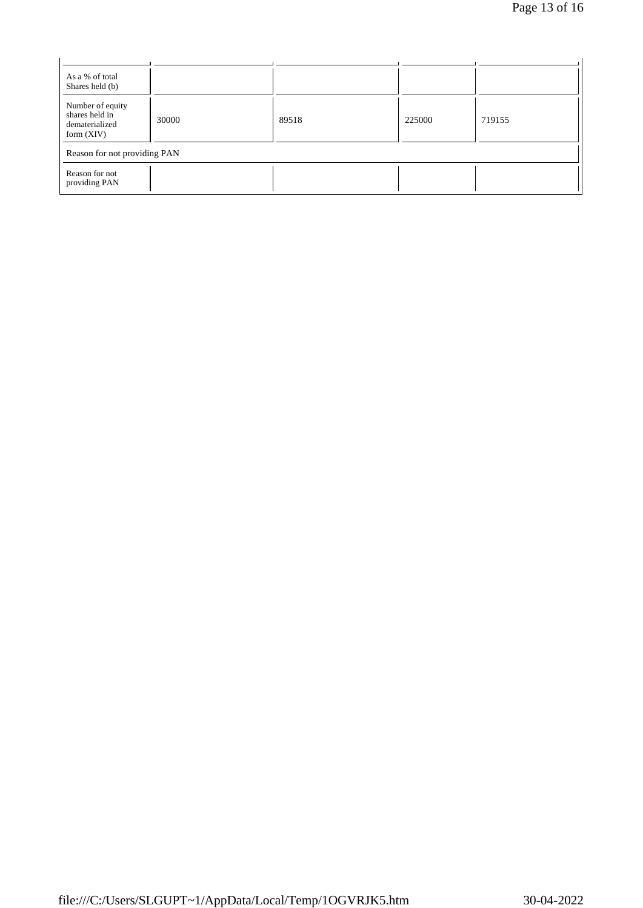| As a % of total<br>Shares held (b)                                   |       |       |        |        |
|----------------------------------------------------------------------|-------|-------|--------|--------|
| Number of equity<br>shares held in<br>dematerialized<br>form $(XIV)$ | 30000 | 89518 | 225000 | 719155 |
| Reason for not providing PAN                                         |       |       |        |        |
| Reason for not<br>providing PAN                                      |       |       |        |        |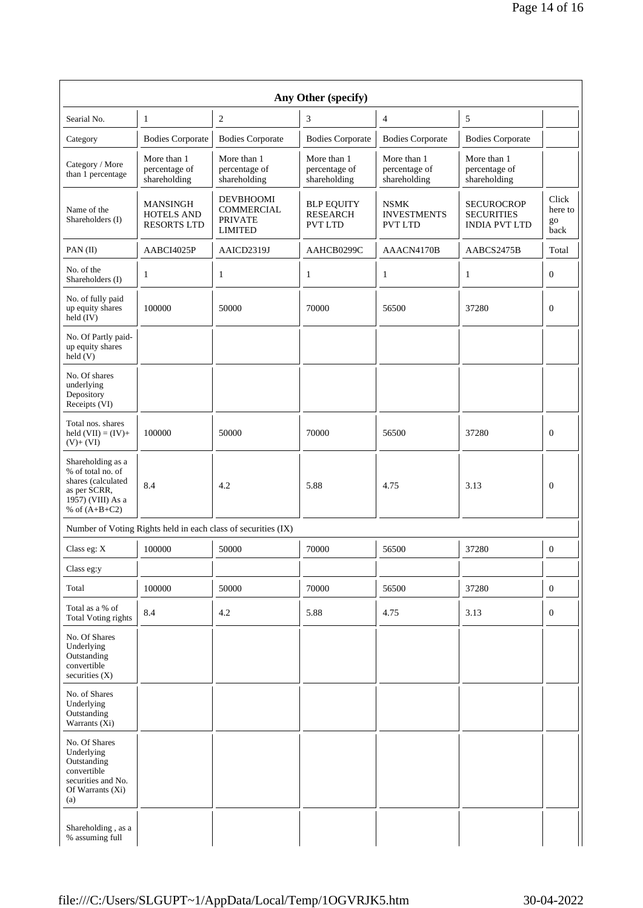| Searial No.                                                                                                          | $\mathbf{1}$                                               | $\overline{c}$                                                            | 3                                                      | $\overline{4}$                                      | 5                                                              |                                |
|----------------------------------------------------------------------------------------------------------------------|------------------------------------------------------------|---------------------------------------------------------------------------|--------------------------------------------------------|-----------------------------------------------------|----------------------------------------------------------------|--------------------------------|
| Category                                                                                                             | <b>Bodies Corporate</b>                                    | <b>Bodies Corporate</b>                                                   | <b>Bodies Corporate</b>                                | <b>Bodies Corporate</b>                             | <b>Bodies Corporate</b>                                        |                                |
| Category / More<br>than 1 percentage                                                                                 | More than 1<br>percentage of<br>shareholding               | More than 1<br>percentage of<br>shareholding                              | More than 1<br>percentage of<br>shareholding           | More than 1<br>percentage of<br>shareholding        | More than 1<br>percentage of<br>shareholding                   |                                |
| Name of the<br>Shareholders (I)                                                                                      | <b>MANSINGH</b><br><b>HOTELS AND</b><br><b>RESORTS LTD</b> | <b>DEVBHOOMI</b><br><b>COMMERCIAL</b><br><b>PRIVATE</b><br><b>LIMITED</b> | <b>BLP EQUITY</b><br><b>RESEARCH</b><br><b>PVT LTD</b> | <b>NSMK</b><br><b>INVESTMENTS</b><br><b>PVT LTD</b> | <b>SECUROCROP</b><br><b>SECURITIES</b><br><b>INDIA PVT LTD</b> | Click<br>here to<br>go<br>back |
| PAN(II)                                                                                                              | AABCI4025P                                                 | AAICD2319J                                                                | AAHCB0299C                                             | AAACN4170B                                          | AABCS2475B                                                     | Total                          |
| No. of the<br>Shareholders (I)                                                                                       | $\mathbf{1}$                                               | $\mathbf{1}$                                                              | $\mathbf{1}$                                           | $\mathbf{1}$                                        | $\mathbf{1}$                                                   | $\overline{0}$                 |
| No. of fully paid<br>up equity shares<br>$held$ (IV)                                                                 | 100000                                                     | 50000                                                                     | 70000                                                  | 56500                                               | 37280                                                          | $\theta$                       |
| No. Of Partly paid-<br>up equity shares<br>$\text{held}(V)$                                                          |                                                            |                                                                           |                                                        |                                                     |                                                                |                                |
| No. Of shares<br>underlying<br>Depository<br>Receipts (VI)                                                           |                                                            |                                                                           |                                                        |                                                     |                                                                |                                |
| Total nos. shares<br>held $(VII) = (IV) +$<br>$(V)+(VI)$                                                             | 100000                                                     | 50000                                                                     | 70000                                                  | 56500                                               | 37280                                                          | $\mathbf{0}$                   |
| Shareholding as a<br>% of total no. of<br>shares (calculated<br>as per SCRR,<br>1957) (VIII) As a<br>% of $(A+B+C2)$ | 8.4                                                        | 4.2                                                                       | 5.88                                                   | 4.75                                                | 3.13                                                           | $\boldsymbol{0}$               |
|                                                                                                                      |                                                            | Number of Voting Rights held in each class of securities (IX)             |                                                        |                                                     |                                                                |                                |
| Class eg: $X$                                                                                                        | 100000                                                     | 50000                                                                     | 70000                                                  | 56500                                               | 37280                                                          | $\mathbf{0}$                   |
| Class eg:y                                                                                                           |                                                            |                                                                           |                                                        |                                                     |                                                                |                                |
| Total                                                                                                                | 100000                                                     | 50000                                                                     | 70000                                                  | 56500                                               | 37280                                                          | $\boldsymbol{0}$               |
| Total as a % of<br>Total Voting rights                                                                               | 8.4                                                        | 4.2                                                                       | 5.88                                                   | 4.75                                                | 3.13                                                           | $\overline{0}$                 |
| No. Of Shares<br>Underlying<br>Outstanding<br>convertible<br>securities $(X)$                                        |                                                            |                                                                           |                                                        |                                                     |                                                                |                                |
| No. of Shares<br>Underlying<br>Outstanding<br>Warrants (Xi)                                                          |                                                            |                                                                           |                                                        |                                                     |                                                                |                                |
| No. Of Shares<br>Underlying<br>Outstanding<br>convertible<br>securities and No.<br>Of Warrants (Xi)<br>(a)           |                                                            |                                                                           |                                                        |                                                     |                                                                |                                |
| Shareholding, as a<br>% assuming full                                                                                |                                                            |                                                                           |                                                        |                                                     |                                                                |                                |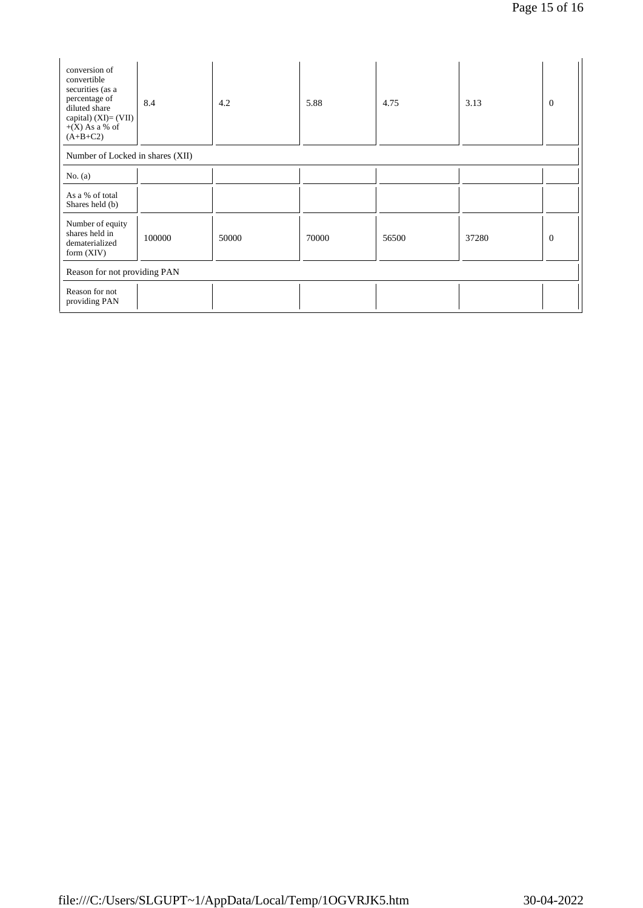| conversion of<br>convertible<br>securities (as a<br>percentage of<br>diluted share<br>capital) $(XI) = (VII)$<br>$+(X)$ As a % of<br>$(A+B+C2)$ | 8.4    | 4.2   | 5.88  | 4.75  | 3.13  | $\theta$ |  |  |  |  |  |
|-------------------------------------------------------------------------------------------------------------------------------------------------|--------|-------|-------|-------|-------|----------|--|--|--|--|--|
| Number of Locked in shares (XII)                                                                                                                |        |       |       |       |       |          |  |  |  |  |  |
| No. $(a)$                                                                                                                                       |        |       |       |       |       |          |  |  |  |  |  |
| As a % of total<br>Shares held (b)                                                                                                              |        |       |       |       |       |          |  |  |  |  |  |
| Number of equity<br>shares held in<br>dematerialized<br>form $(XIV)$                                                                            | 100000 | 50000 | 70000 | 56500 | 37280 | $\theta$ |  |  |  |  |  |
| Reason for not providing PAN                                                                                                                    |        |       |       |       |       |          |  |  |  |  |  |
| Reason for not<br>providing PAN                                                                                                                 |        |       |       |       |       |          |  |  |  |  |  |